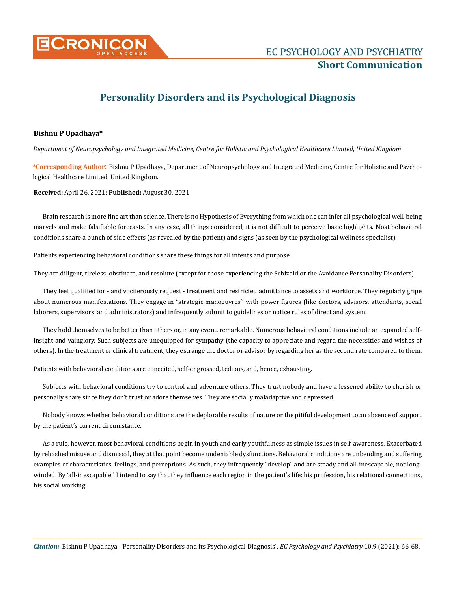

## **Personality Disorders and its Psychological Diagnosis**

## **Bishnu P Upadhaya\***

*Department of Neuropsychology and Integrated Medicine, Centre for Holistic and Psychological Healthcare Limited, United Kingdom* 

**\*Corresponding Author**: Bishnu P Upadhaya, Department of Neuropsychology and Integrated Medicine, Centre for Holistic and Psychological Healthcare Limited, United Kingdom.

**Received:** April 26, 2021; **Published:** August 30, 2021

Brain research is more fine art than science. There is no Hypothesis of Everything from which one can infer all psychological well-being marvels and make falsifiable forecasts. In any case, all things considered, it is not difficult to perceive basic highlights. Most behavioral conditions share a bunch of side effects (as revealed by the patient) and signs (as seen by the psychological wellness specialist).

Patients experiencing behavioral conditions share these things for all intents and purpose.

They are diligent, tireless, obstinate, and resolute (except for those experiencing the Schizoid or the Avoidance Personality Disorders).

They feel qualified for - and vociferously request - treatment and restricted admittance to assets and workforce. They regularly gripe about numerous manifestations. They engage in "strategic manoeuvres'' with power figures (like doctors, advisors, attendants, social laborers, supervisors, and administrators) and infrequently submit to guidelines or notice rules of direct and system.

They hold themselves to be better than others or, in any event, remarkable. Numerous behavioral conditions include an expanded selfinsight and vainglory. Such subjects are unequipped for sympathy (the capacity to appreciate and regard the necessities and wishes of others). In the treatment or clinical treatment, they estrange the doctor or advisor by regarding her as the second rate compared to them.

Patients with behavioral conditions are conceited, self-engrossed, tedious, and, hence, exhausting.

Subjects with behavioral conditions try to control and adventure others. They trust nobody and have a lessened ability to cherish or personally share since they don't trust or adore themselves. They are socially maladaptive and depressed.

Nobody knows whether behavioral conditions are the deplorable results of nature or the pitiful development to an absence of support by the patient's current circumstance.

As a rule, however, most behavioral conditions begin in youth and early youthfulness as simple issues in self-awareness. Exacerbated by rehashed misuse and dismissal, they at that point become undeniable dysfunctions. Behavioral conditions are unbending and suffering examples of characteristics, feelings, and perceptions. As such, they infrequently "develop" and are steady and all-inescapable, not longwinded. By 'all-inescapable", I intend to say that they influence each region in the patient's life: his profession, his relational connections, his social working.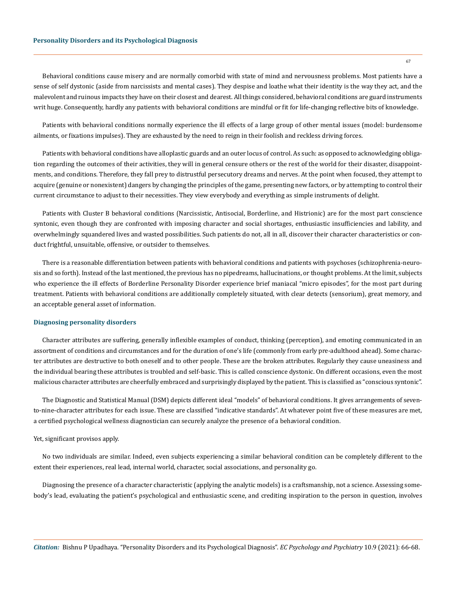Behavioral conditions cause misery and are normally comorbid with state of mind and nervousness problems. Most patients have a sense of self dystonic (aside from narcissists and mental cases). They despise and loathe what their identity is the way they act, and the malevolent and ruinous impacts they have on their closest and dearest. All things considered, behavioral conditions are guard instruments writ huge. Consequently, hardly any patients with behavioral conditions are mindful or fit for life-changing reflective bits of knowledge.

Patients with behavioral conditions normally experience the ill effects of a large group of other mental issues (model: burdensome ailments, or fixations impulses). They are exhausted by the need to reign in their foolish and reckless driving forces.

Patients with behavioral conditions have alloplastic guards and an outer locus of control. As such: as opposed to acknowledging obligation regarding the outcomes of their activities, they will in general censure others or the rest of the world for their disaster, disappointments, and conditions. Therefore, they fall prey to distrustful persecutory dreams and nerves. At the point when focused, they attempt to acquire (genuine or nonexistent) dangers by changing the principles of the game, presenting new factors, or by attempting to control their current circumstance to adjust to their necessities. They view everybody and everything as simple instruments of delight.

Patients with Cluster B behavioral conditions (Narcissistic, Antisocial, Borderline, and Histrionic) are for the most part conscience syntonic, even though they are confronted with imposing character and social shortages, enthusiastic insufficiencies and lability, and overwhelmingly squandered lives and wasted possibilities. Such patients do not, all in all, discover their character characteristics or conduct frightful, unsuitable, offensive, or outsider to themselves.

There is a reasonable differentiation between patients with behavioral conditions and patients with psychoses (schizophrenia-neurosis and so forth). Instead of the last mentioned, the previous has no pipedreams, hallucinations, or thought problems. At the limit, subjects who experience the ill effects of Borderline Personality Disorder experience brief maniacal "micro episodes", for the most part during treatment. Patients with behavioral conditions are additionally completely situated, with clear detects (sensorium), great memory, and an acceptable general asset of information.

## **Diagnosing personality disorders**

Character attributes are suffering, generally inflexible examples of conduct, thinking (perception), and emoting communicated in an assortment of conditions and circumstances and for the duration of one's life (commonly from early pre-adulthood ahead). Some character attributes are destructive to both oneself and to other people. These are the broken attributes. Regularly they cause uneasiness and the individual bearing these attributes is troubled and self-basic. This is called conscience dystonic. On different occasions, even the most malicious character attributes are cheerfully embraced and surprisingly displayed by the patient. This is classified as "conscious syntonic".

The Diagnostic and Statistical Manual (DSM) depicts different ideal "models" of behavioral conditions. It gives arrangements of sevento-nine-character attributes for each issue. These are classified "indicative standards". At whatever point five of these measures are met, a certified psychological wellness diagnostician can securely analyze the presence of a behavioral condition.

## Yet, significant provisos apply.

No two individuals are similar. Indeed, even subjects experiencing a similar behavioral condition can be completely different to the extent their experiences, real lead, internal world, character, social associations, and personality go.

Diagnosing the presence of a character characteristic (applying the analytic models) is a craftsmanship, not a science. Assessing somebody's lead, evaluating the patient's psychological and enthusiastic scene, and crediting inspiration to the person in question, involves

67